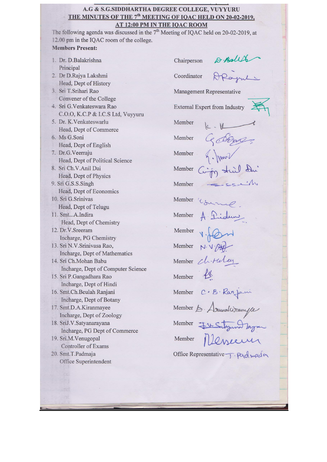#### A.G & S.G.SIDDHARTHA DEGREE COLLEGE, VUYYURU THE MINUTES OF THE 7<sup>th</sup> MEETING OF IQAC HELD ON 20-02-2019, AT 12:00 PM IN THE IQAC ROOM

The following agenda was discussed in the  $7<sup>th</sup>$  Meeting of IQAC held on 20-02-2019, at 12.00 pm in the IQAC room of the college.

### **Members Present:**

- 1. Dr. D.Balakrishna Principal
- 2. Dr D.Rajya Lakshmi Head, Dept of History
- 3. Sri T.Srihari Rao Convener of the College
- 4. Sri G.Venkateswara Rao C.O.O, K.C.P & I.C.S Ltd, Vuyyuru
- 5. Dr. K. Venkateswarlu Head, Dept of Commerce
- 6. Ms G.Soni Head, Dept of English
- 7. Dr.G.Veerraju Head, Dept of Political Science
- 8. Sri Ch.V.Anil Dai Head, Dept of Physics
- 9. Sri G.S.S.Singh Head, Dept of Economics 10. Sri G. Srinivas
	- Head, Dept of Telugu
- 11. Smt...A.Indira Head, Dept of Chemistry
- 12. Dr.V.Sreeram Incharge, PG Chemistry
- 13. Sri N.V. Srinivasa Rao, Incharge, Dept of Mathematics
- 14. Sri Ch.Mohan Babu Incharge, Dept of Computer Science 15. Sri P.Gangadhara Rao
- Incharge, Dept of Hindi
- 16. Smt.Ch.Beulah Ranjani Incharge, Dept of Botany
- 17. Smt.D.A.Kiranmayee Incharge, Dept of Zoology
- 18. SriJ.V.Satyanarayana Incharge, PG Dept of Commerce
- 19. Sri.M.Venugopal Controller of Exams 20. Smt.T.Padmaja Office Superintendent

D. Balld Chairperson Coordinator Management Representative External Expert from Industry Member dem Member Member in third du Member Member Member Member Member Member Member Chiteley Member Member C.B. Ranjoui<br>Member de Armaleiranyee<br>Member <del>I</del>n Schraud Lagran Office Representative T. Pad may a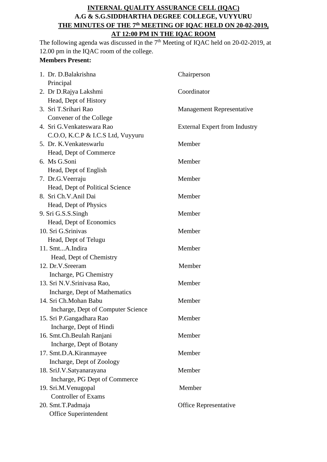# **INTERNAL QUALITY ASSURANCE CELL (IQAC) A.G & S.G.SIDDHARTHA DEGREE COLLEGE, VUYYURU THE MINUTES OF THE 7 th MEETING OF IQAC HELD ON 20-02-2019, AT 12:00 PM IN THE IQAC ROOM**

The following agenda was discussed in the  $7<sup>th</sup>$  Meeting of IQAC held on 20-02-2019, at 12.00 pm in the IQAC room of the college.

# **Members Present:**

| 1. Dr. D. Balakrishna              | Chairperson                          |
|------------------------------------|--------------------------------------|
| Principal                          |                                      |
| 2. Dr D.Rajya Lakshmi              | Coordinator                          |
| Head, Dept of History              |                                      |
| 3. Sri T.Srihari Rao               | <b>Management Representative</b>     |
| Convener of the College            |                                      |
| 4. Sri G. Venkateswara Rao         | <b>External Expert from Industry</b> |
| C.O.O, K.C.P & I.C.S Ltd, Vuyyuru  |                                      |
| 5. Dr. K. Venkateswarlu            | Member                               |
| Head, Dept of Commerce             |                                      |
| 6. Ms G.Soni                       | Member                               |
| Head, Dept of English              |                                      |
| 7. Dr.G.Veerraju                   | Member                               |
| Head, Dept of Political Science    |                                      |
| 8. Sri Ch.V.Anil Dai               | Member                               |
| Head, Dept of Physics              |                                      |
| 9. Sri G.S.S.Singh                 | Member                               |
| Head, Dept of Economics            |                                      |
| 10. Sri G.Srinivas                 | Member                               |
| Head, Dept of Telugu               |                                      |
| 11. SmtA.Indira                    | Member                               |
| Head, Dept of Chemistry            |                                      |
| 12. Dr.V.Sreeram                   | Member                               |
| Incharge, PG Chemistry             |                                      |
| 13. Sri N.V.Srinivasa Rao,         | Member                               |
| Incharge, Dept of Mathematics      |                                      |
| 14. Sri Ch.Mohan Babu              | Member                               |
| Incharge, Dept of Computer Science |                                      |
| 15. Sri P.Gangadhara Rao           | Member                               |
| Incharge, Dept of Hindi            |                                      |
| 16. Smt.Ch.Beulah Ranjani          | Member                               |
| Incharge, Dept of Botany           |                                      |
| 17. Smt.D.A.Kiranmayee             | Member                               |
| Incharge, Dept of Zoology          |                                      |
| 18. SriJ.V.Satyanarayana           | Member                               |
| Incharge, PG Dept of Commerce      |                                      |
| 19. Sri.M.Venugopal                | Member                               |
| <b>Controller of Exams</b>         |                                      |
| 20. Smt.T.Padmaja                  | <b>Office Representative</b>         |
| Office Superintendent              |                                      |